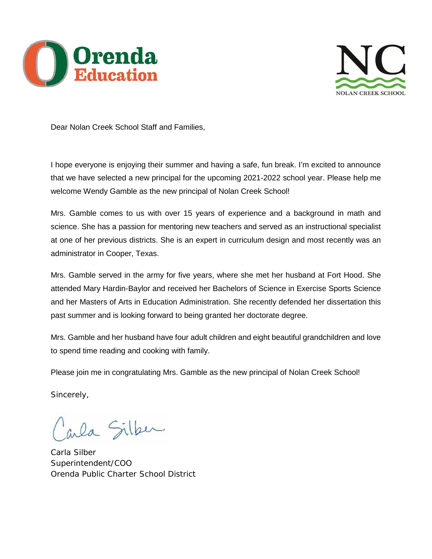



Dear Nolan Creek School Staff and Families,

I hope everyone is enjoying their summer and having a safe, fun break. I'm excited to announce that we have selected a new principal for the upcoming 2021-2022 school year. Please help me welcome Wendy Gamble as the new principal of Nolan Creek School!

Mrs. Gamble comes to us with over 15 years of experience and a background in math and science. She has a passion for mentoring new teachers and served as an instructional specialist at one of her previous districts. She is an expert in curriculum design and most recently was an administrator in Cooper, Texas.

Mrs. Gamble served in the army for five years, where she met her husband at Fort Hood. She attended Mary Hardin-Baylor and received her Bachelors of Science in Exercise Sports Science and her Masters of Arts in Education Administration. She recently defended her dissertation this past summer and is looking forward to being granted her doctorate degree.

Mrs. Gamble and her husband have four adult children and eight beautiful grandchildren and love to spend time reading and cooking with family.

Please join me in congratulating Mrs. Gamble as the new principal of Nolan Creek School!

Sincerely,

ala Silber

Carla Silber Superintendent/COO Orenda Public Charter School District